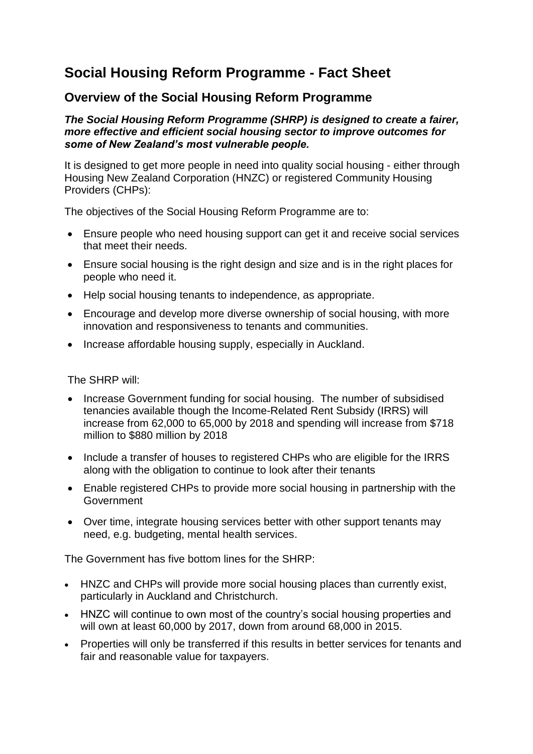## **Social Housing Reform Programme - Fact Sheet**

### **Overview of the Social Housing Reform Programme**

### *The Social Housing Reform Programme (SHRP) is designed to create a fairer, more effective and efficient social housing sector to improve outcomes for some of New Zealand's most vulnerable people.*

It is designed to get more people in need into quality social housing - either through Housing New Zealand Corporation (HNZC) or registered Community Housing Providers (CHPs):

The objectives of the Social Housing Reform Programme are to:

- Ensure people who need housing support can get it and receive social services that meet their needs.
- Ensure social housing is the right design and size and is in the right places for people who need it.
- Help social housing tenants to independence, as appropriate.
- Encourage and develop more diverse ownership of social housing, with more innovation and responsiveness to tenants and communities.
- Increase affordable housing supply, especially in Auckland.

The SHRP will:

- Increase Government funding for social housing. The number of subsidised tenancies available though the Income-Related Rent Subsidy (IRRS) will increase from 62,000 to 65,000 by 2018 and spending will increase from \$718 million to \$880 million by 2018
- Include a transfer of houses to registered CHPs who are eligible for the IRRS along with the obligation to continue to look after their tenants
- Enable registered CHPs to provide more social housing in partnership with the Government
- Over time, integrate housing services better with other support tenants may need, e.g. budgeting, mental health services.

The Government has five bottom lines for the SHRP:

- HNZC and CHPs will provide more social housing places than currently exist, particularly in Auckland and Christchurch.
- HNZC will continue to own most of the country's social housing properties and will own at least 60,000 by 2017, down from around 68,000 in 2015.
- Properties will only be transferred if this results in better services for tenants and fair and reasonable value for taxpayers.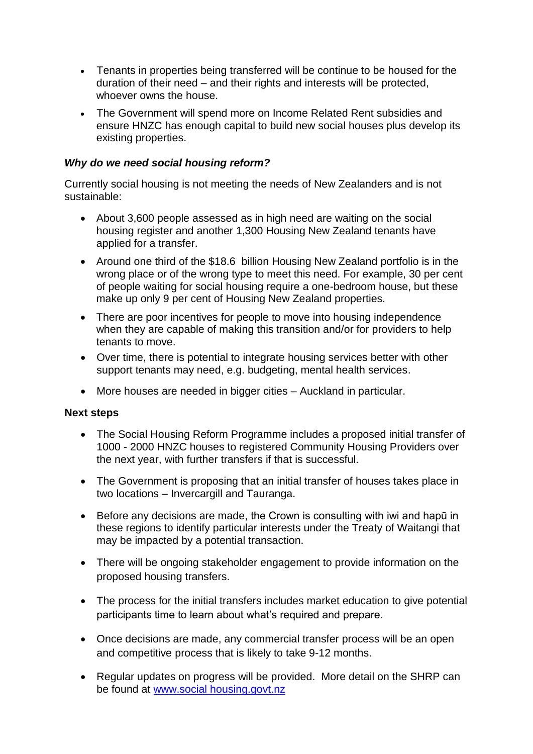- Tenants in properties being transferred will be continue to be housed for the duration of their need – and their rights and interests will be protected, whoever owns the house.
- The Government will spend more on Income Related Rent subsidies and ensure HNZC has enough capital to build new social houses plus develop its existing properties.

### *Why do we need social housing reform?*

Currently social housing is not meeting the needs of New Zealanders and is not sustainable:

- About 3,600 people assessed as in high need are waiting on the social housing register and another 1,300 Housing New Zealand tenants have applied for a transfer.
- Around one third of the \$18.6 billion Housing New Zealand portfolio is in the wrong place or of the wrong type to meet this need. For example, 30 per cent of people waiting for social housing require a one-bedroom house, but these make up only 9 per cent of Housing New Zealand properties.
- There are poor incentives for people to move into housing independence when they are capable of making this transition and/or for providers to help tenants to move.
- Over time, there is potential to integrate housing services better with other support tenants may need, e.g. budgeting, mental health services.
- More houses are needed in bigger cities Auckland in particular.

### **Next steps**

- The Social Housing Reform Programme includes a proposed initial transfer of 1000 - 2000 HNZC houses to registered Community Housing Providers over the next year, with further transfers if that is successful.
- The Government is proposing that an initial transfer of houses takes place in two locations – Invercargill and Tauranga.
- Before any decisions are made, the Crown is consulting with iwi and hapū in these regions to identify particular interests under the Treaty of Waitangi that may be impacted by a potential transaction.
- There will be ongoing stakeholder engagement to provide information on the proposed housing transfers.
- The process for the initial transfers includes market education to give potential participants time to learn about what's required and prepare.
- Once decisions are made, any commercial transfer process will be an open and competitive process that is likely to take 9-12 months.
- Regular updates on progress will be provided. More detail on the SHRP can be found at www.social housing.govt.nz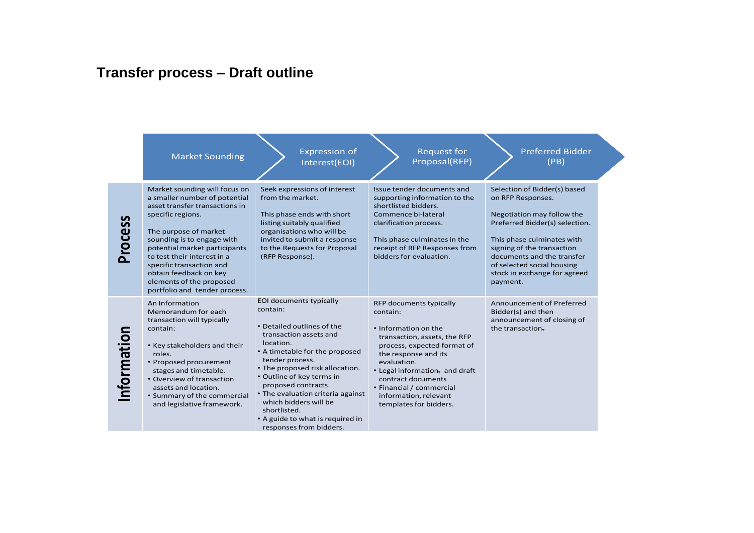# **Transfer process – Draft outline**

|                | <b>Market Sounding</b>                                                                                                                                                                                                                                                                                                                                          | <b>Expression of</b><br>Interest(EOI)                                                                                                                                                                                                                                                                                                                                                             | <b>Request for</b><br>Proposal(RFP)                                                                                                                                                                                                                                                                      | <b>Preferred Bidder</b><br>(PB)                                                                                                                                                                                                                                                       |
|----------------|-----------------------------------------------------------------------------------------------------------------------------------------------------------------------------------------------------------------------------------------------------------------------------------------------------------------------------------------------------------------|---------------------------------------------------------------------------------------------------------------------------------------------------------------------------------------------------------------------------------------------------------------------------------------------------------------------------------------------------------------------------------------------------|----------------------------------------------------------------------------------------------------------------------------------------------------------------------------------------------------------------------------------------------------------------------------------------------------------|---------------------------------------------------------------------------------------------------------------------------------------------------------------------------------------------------------------------------------------------------------------------------------------|
| <b>Process</b> | Market sounding will focus on<br>a smaller number of potential<br>asset transfer transactions in<br>specific regions.<br>The purpose of market<br>sounding is to engage with<br>potential market participants<br>to test their interest in a<br>specific transaction and<br>obtain feedback on key<br>elements of the proposed<br>portfolio and tender process. | Seek expressions of interest<br>from the market.<br>This phase ends with short<br>listing suitably qualified<br>organisations who will be<br>invited to submit a response<br>to the Requests for Proposal<br>(RFP Response).                                                                                                                                                                      | Issue tender documents and<br>supporting information to the<br>shortlisted bidders.<br>Commence bi-lateral<br>clarification process.<br>This phase culminates in the<br>receipt of RFP Responses from<br>bidders for evaluation.                                                                         | Selection of Bidder(s) based<br>on RFP Responses.<br>Negotiation may follow the<br>Preferred Bidder(s) selection.<br>This phase culminates with<br>signing of the transaction<br>documents and the transfer<br>of selected social housing<br>stock in exchange for agreed<br>payment. |
| nformation     | An Information<br>Memorandum for each<br>transaction will typically<br>contain:<br>• Key stakeholders and their<br>roles.<br>• Proposed procurement<br>stages and timetable.<br>• Overview of transaction<br>assets and location.<br>• Summary of the commercial<br>and legislative framework.                                                                  | EOI documents typically<br>contain:<br>• Detailed outlines of the<br>transaction assets and<br>location.<br>• A timetable for the proposed<br>tender process.<br>• The proposed risk allocation.<br>• Outline of key terms in<br>proposed contracts.<br>• The evaluation criteria against<br>which bidders will be<br>shortlisted.<br>• A guide to what is required in<br>responses from bidders. | RFP documents typically<br>contain:<br>• Information on the<br>transaction, assets, the RFP<br>process, expected format of<br>the response and its<br>evaluation.<br>• Legal information, and draft<br>contract documents<br>• Financial / commercial<br>information, relevant<br>templates for bidders. | Announcement of Preferred<br>Bidder(s) and then<br>announcement of closing of<br>the transaction.                                                                                                                                                                                     |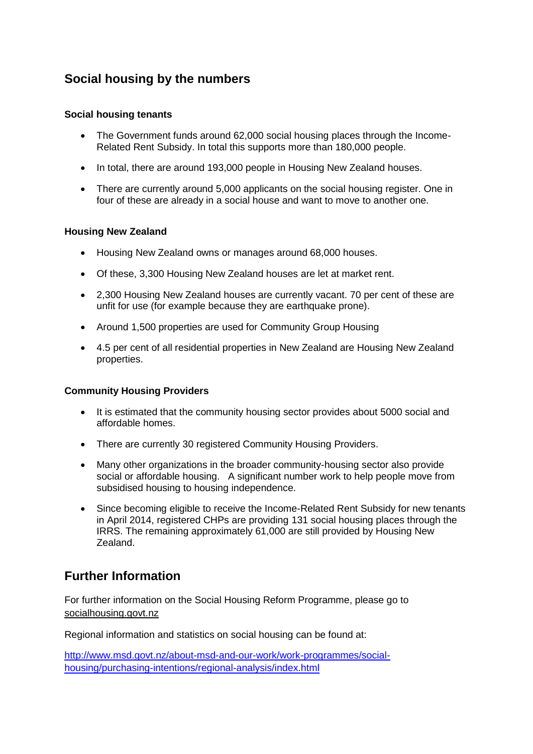### **Social housing by the numbers**

#### **Social housing tenants**

- The Government funds around 62,000 social housing places through the Income-Related Rent Subsidy. In total this supports more than 180,000 people.
- In total, there are around 193,000 people in Housing New Zealand houses.
- There are currently around 5,000 applicants on the social housing register. One in four of these are already in a social house and want to move to another one.

#### **Housing New Zealand**

- Housing New Zealand owns or manages around 68,000 houses.
- Of these, 3,300 Housing New Zealand houses are let at market rent.
- 2,300 Housing New Zealand houses are currently vacant. 70 per cent of these are unfit for use (for example because they are earthquake prone).
- Around 1,500 properties are used for Community Group Housing
- 4.5 per cent of all residential properties in New Zealand are Housing New Zealand properties.

### **Community Housing Providers**

- It is estimated that the community housing sector provides about 5000 social and affordable homes.
- There are currently 30 registered Community Housing Providers.
- Many other organizations in the broader community-housing sector also provide social or affordable housing. A significant number work to help people move from subsidised housing to housing independence.
- Since becoming eligible to receive the Income-Related Rent Subsidy for new tenants in April 2014, registered CHPs are providing 131 social housing places through the IRRS. The remaining approximately 61,000 are still provided by Housing New Zealand.

### **Further Information**

For further information on the Social Housing Reform Programme, please go to socialhousing.govt.nz

Regional information and statistics on social housing can be found at:

[http://www.msd.govt.nz/about-msd-and-our-work/work-programmes/social](http://www.msd.govt.nz/about-msd-and-our-work/work-programmes/social-housing/purchasing-intentions/regional-analysis/index.html)[housing/purchasing-intentions/regional-analysis/index.html](http://www.msd.govt.nz/about-msd-and-our-work/work-programmes/social-housing/purchasing-intentions/regional-analysis/index.html)